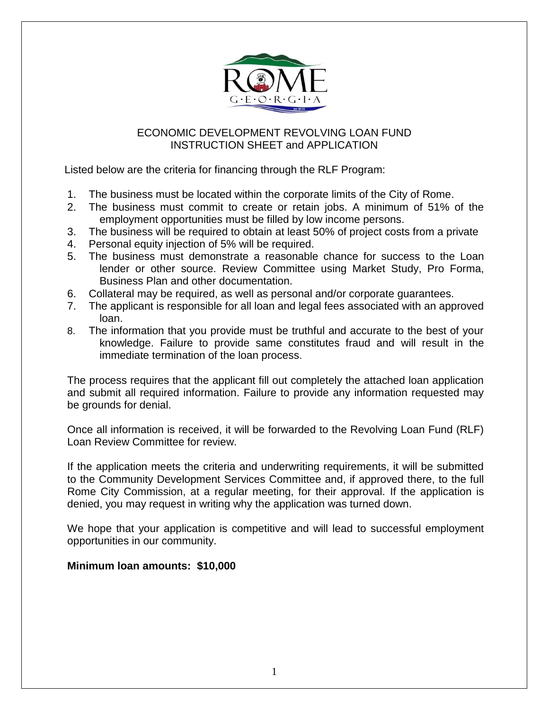

### ECONOMIC DEVELOPMENT REVOLVING LOAN FUND INSTRUCTION SHEET and APPLICATION

Listed below are the criteria for financing through the RLF Program:

- 1. The business must be located within the corporate limits of the City of Rome.
- 2. The business must commit to create or retain jobs. A minimum of 51% of the employment opportunities must be filled by low income persons.
- 3. The business will be required to obtain at least 50% of project costs from a private
- 4. Personal equity injection of 5% will be required.
- 5. The business must demonstrate a reasonable chance for success to the Loan lender or other source. Review Committee using Market Study, Pro Forma, Business Plan and other documentation.
- 6. Collateral may be required, as well as personal and/or corporate guarantees.
- 7. The applicant is responsible for all loan and legal fees associated with an approved loan.
- 8. The information that you provide must be truthful and accurate to the best of your knowledge. Failure to provide same constitutes fraud and will result in the immediate termination of the loan process.

The process requires that the applicant fill out completely the attached loan application and submit all required information. Failure to provide any information requested may be grounds for denial.

Once all information is received, it will be forwarded to the Revolving Loan Fund (RLF) Loan Review Committee for review.

If the application meets the criteria and underwriting requirements, it will be submitted to the Community Development Services Committee and, if approved there, to the full Rome City Commission, at a regular meeting, for their approval. If the application is denied, you may request in writing why the application was turned down.

We hope that your application is competitive and will lead to successful employment opportunities in our community.

## **Minimum loan amounts: \$10,000**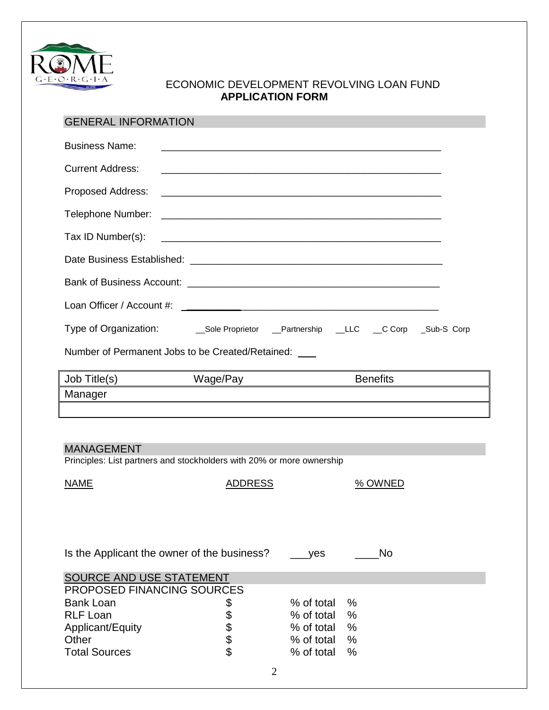

### ECONOMIC DEVELOPMENT REVOLVING LOAN FUND **APPLICATION FORM**

# GENERAL INFORMATION

| <b>Business Name:</b>                                                                      |                                                                                                                        |                          |                 |  |  |
|--------------------------------------------------------------------------------------------|------------------------------------------------------------------------------------------------------------------------|--------------------------|-----------------|--|--|
|                                                                                            |                                                                                                                        |                          |                 |  |  |
| <b>Current Address:</b>                                                                    |                                                                                                                        |                          |                 |  |  |
| Proposed Address:                                                                          |                                                                                                                        |                          |                 |  |  |
| Telephone Number:                                                                          | <u> Alexandro de la contrada de la contrada de la contrada de la contrada de la contrada de la contrada de la co</u>   |                          |                 |  |  |
| Tax ID Number(s):                                                                          |                                                                                                                        |                          |                 |  |  |
|                                                                                            |                                                                                                                        |                          |                 |  |  |
|                                                                                            |                                                                                                                        |                          |                 |  |  |
|                                                                                            |                                                                                                                        |                          |                 |  |  |
|                                                                                            |                                                                                                                        |                          |                 |  |  |
|                                                                                            | Number of Permanent Jobs to be Created/Retained: ___                                                                   |                          |                 |  |  |
|                                                                                            |                                                                                                                        |                          |                 |  |  |
| Job Title(s)                                                                               |                                                                                                                        |                          | <b>Benefits</b> |  |  |
| Manager                                                                                    | <u> 1989 - Johann Stoff, deutscher Stoffen und der Stoffen und der Stoffen und der Stoffen und der Stoffen und der</u> |                          |                 |  |  |
|                                                                                            |                                                                                                                        |                          |                 |  |  |
|                                                                                            |                                                                                                                        |                          |                 |  |  |
|                                                                                            |                                                                                                                        |                          |                 |  |  |
| <b>MANAGEMENT</b><br>Principles: List partners and stockholders with 20% or more ownership |                                                                                                                        |                          |                 |  |  |
|                                                                                            |                                                                                                                        |                          |                 |  |  |
|                                                                                            |                                                                                                                        |                          |                 |  |  |
| <b>NAME</b>                                                                                | <b>ADDRESS</b>                                                                                                         |                          | % OWNED         |  |  |
|                                                                                            |                                                                                                                        |                          |                 |  |  |
|                                                                                            |                                                                                                                        |                          |                 |  |  |
|                                                                                            |                                                                                                                        |                          |                 |  |  |
|                                                                                            | Is the Applicant the owner of the business?                                                                            | yes                      | No              |  |  |
|                                                                                            |                                                                                                                        |                          |                 |  |  |
| <b>SOURCE AND USE STATEMENT</b>                                                            |                                                                                                                        |                          |                 |  |  |
| PROPOSED FINANCING SOURCES                                                                 |                                                                                                                        |                          |                 |  |  |
| <b>Bank Loan</b>                                                                           | \$                                                                                                                     | % of total               | %               |  |  |
| <b>RLF Loan</b>                                                                            |                                                                                                                        | % of total               | %               |  |  |
| Applicant/Equity                                                                           |                                                                                                                        | % of total               | %               |  |  |
| Other<br><b>Total Sources</b>                                                              | \$\$\$\$                                                                                                               | % of total<br>% of total | %<br>%          |  |  |
|                                                                                            | っ                                                                                                                      |                          |                 |  |  |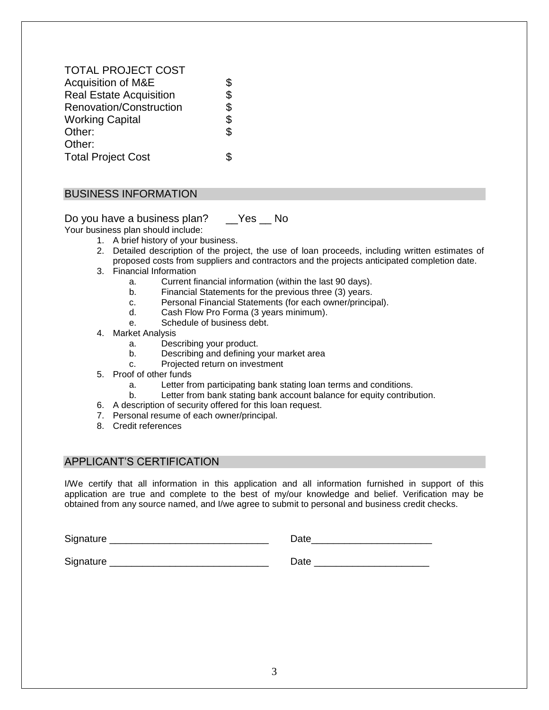| <b>TOTAL PROJECT COST</b>      |            |
|--------------------------------|------------|
| <b>Acquisition of M&amp;E</b>  | \$         |
| <b>Real Estate Acquisition</b> | $\dot{\$}$ |
| Renovation/Construction        | \$         |
| <b>Working Capital</b>         | \$         |
| Other:                         | \$         |
| Other:                         |            |
| <b>Total Project Cost</b>      |            |
|                                |            |

#### BUSINESS INFORMATION

Do you have a business plan? \_\_Yes \_\_ No

Your business plan should include:

- 1. A brief history of your business.
- 2. Detailed description of the project, the use of loan proceeds, including written estimates of proposed costs from suppliers and contractors and the projects anticipated completion date.
- 3. Financial Information
	- a. Current financial information (within the last 90 days).
	- b. Financial Statements for the previous three (3) years.
	- c. Personal Financial Statements (for each owner/principal).
	- d. Cash Flow Pro Forma (3 years minimum).
	- e. Schedule of business debt.
- 4. Market Analysis
	- a. Describing your product.
	- b. Describing and defining your market area
	- c. Projected return on investment
- 5. Proof of other funds
	- a. Letter from participating bank stating loan terms and conditions.
	- b. Letter from bank stating bank account balance for equity contribution.
- 6. A description of security offered for this loan request.
- 7. Personal resume of each owner/principal.
- 8. Credit references

#### APPLICANT'S CERTIFICATION

I/We certify that all information in this application and all information furnished in support of this application are true and complete to the best of my/our knowledge and belief. Verification may be obtained from any source named, and I/we agree to submit to personal and business credit checks.

| Signature | Date |
|-----------|------|
| Signature | Date |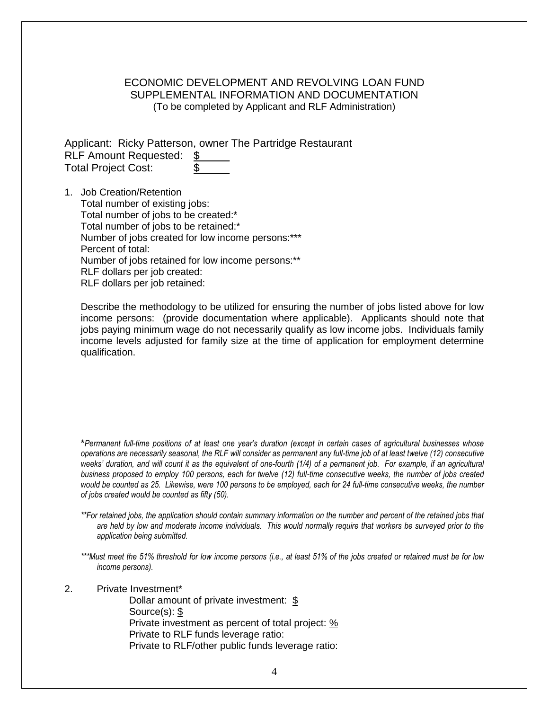#### ECONOMIC DEVELOPMENT AND REVOLVING LOAN FUND SUPPLEMENTAL INFORMATION AND DOCUMENTATION (To be completed by Applicant and RLF Administration)

Applicant: Ricky Patterson, owner The Partridge Restaurant RLF Amount Requested: \$ Total Project Cost: \$

1. Job Creation/Retention Total number of existing jobs: Total number of jobs to be created:\* Total number of jobs to be retained:\* Number of jobs created for low income persons:\*\*\* Percent of total: Number of jobs retained for low income persons:\*\* RLF dollars per job created: RLF dollars per job retained:

Describe the methodology to be utilized for ensuring the number of jobs listed above for low income persons: (provide documentation where applicable). Applicants should note that jobs paying minimum wage do not necessarily qualify as low income jobs. Individuals family income levels adjusted for family size at the time of application for employment determine qualification.

\**Permanent full-time positions of at least one year's duration (except in certain cases of agricultural businesses whose operations are necessarily seasonal, the RLF will consider as permanent any full-time job of at least twelve (12) consecutive weeks' duration, and will count it as the equivalent of one-fourth (1/4) of a permanent job. For example, if an agricultural business proposed to employ 100 persons, each for twelve (12) full-time consecutive weeks, the number of jobs created would be counted as 25. Likewise, were 100 persons to be employed, each for 24 full-time consecutive weeks, the number of jobs created would be counted as fifty (50).*

*\*\*For retained jobs, the application should contain summary information on the number and percent of the retained jobs that are held by low and moderate income individuals. This would normally require that workers be surveyed prior to the application being submitted.*

*\*\*\*Must meet the 51% threshold for low income persons (i.e., at least 51% of the jobs created or retained must be for low income persons).*

2. Private Investment\*

Dollar amount of private investment: \$ Source(s): \$ Private investment as percent of total project: % Private to RLF funds leverage ratio: Private to RLF/other public funds leverage ratio: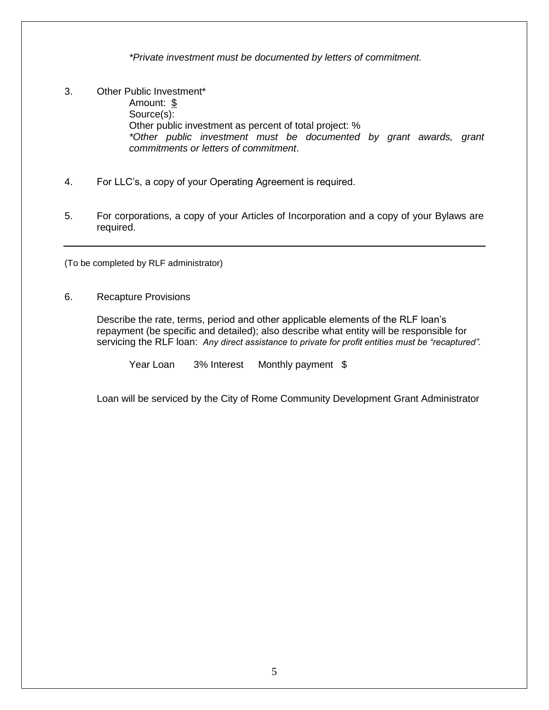*\*Private investment must be documented by letters of commitment.*

- 3. Other Public Investment\* Amount: \$ Source(s): Other public investment as percent of total project: % *\*Other public investment must be documented by grant awards, grant commitments or letters of commitment*.
- 4. For LLC's, a copy of your Operating Agreement is required.
- 5. For corporations, a copy of your Articles of Incorporation and a copy of your Bylaws are required.

(To be completed by RLF administrator)

6. Recapture Provisions

Describe the rate, terms, period and other applicable elements of the RLF loan's repayment (be specific and detailed); also describe what entity will be responsible for servicing the RLF loan: *Any direct assistance to private for profit entities must be "recaptured".*

Year Loan 3% Interest Monthly payment \$

Loan will be serviced by the City of Rome Community Development Grant Administrator